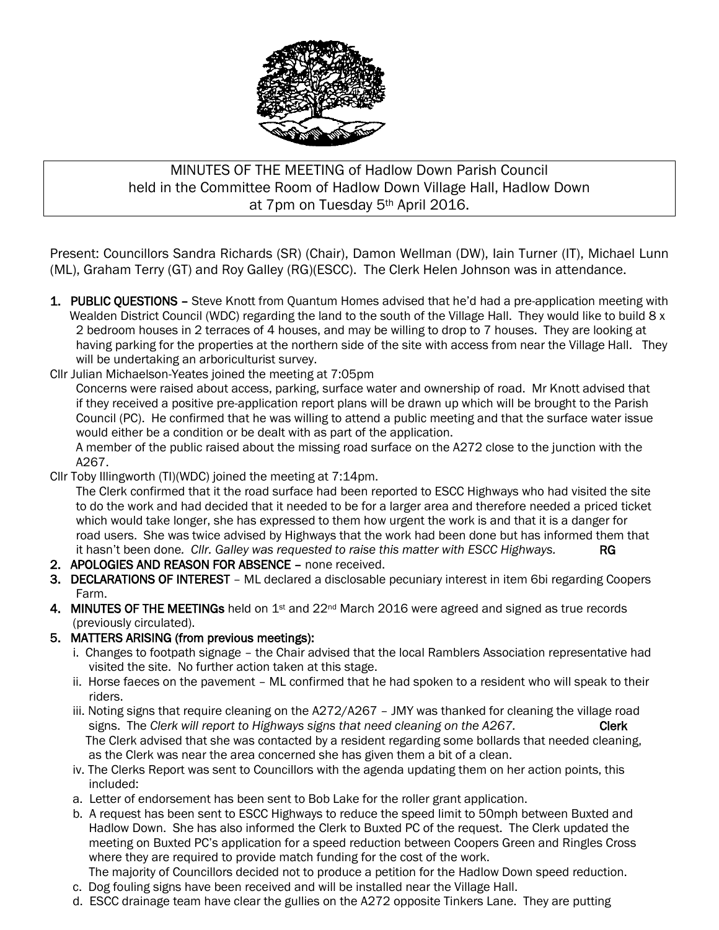

# MINUTES OF THE MEETING of Hadlow Down Parish Council held in the Committee Room of Hadlow Down Village Hall, Hadlow Down at 7pm on Tuesday 5th April 2016.

Present: Councillors Sandra Richards (SR) (Chair), Damon Wellman (DW), Iain Turner (IT), Michael Lunn (ML), Graham Terry (GT) and Roy Galley (RG)(ESCC). The Clerk Helen Johnson was in attendance.

- 1. PUBLIC QUESTIONS Steve Knott from Quantum Homes advised that he'd had a pre-application meeting with Wealden District Council (WDC) regarding the land to the south of the Village Hall. They would like to build 8 x 2 bedroom houses in 2 terraces of 4 houses, and may be willing to drop to 7 houses. They are looking at having parking for the properties at the northern side of the site with access from near the Village Hall. They will be undertaking an arboriculturist survey.
- Cllr Julian Michaelson-Yeates joined the meeting at 7:05pm

 Concerns were raised about access, parking, surface water and ownership of road. Mr Knott advised that if they received a positive pre-application report plans will be drawn up which will be brought to the Parish Council (PC). He confirmed that he was willing to attend a public meeting and that the surface water issue would either be a condition or be dealt with as part of the application.

 A member of the public raised about the missing road surface on the A272 close to the junction with the A267.

Cllr Toby Illingworth (TI)(WDC) joined the meeting at 7:14pm.

 The Clerk confirmed that it the road surface had been reported to ESCC Highways who had visited the site to do the work and had decided that it needed to be for a larger area and therefore needed a priced ticket which would take longer, she has expressed to them how urgent the work is and that it is a danger for road users. She was twice advised by Highways that the work had been done but has informed them that it hasn't been done. Cllr. Galley was requested to raise this matter with ESCC Highways. RG

- 2. APOLOGIES AND REASON FOR ABSENCE none received.
- 3. DECLARATIONS OF INTEREST ML declared a disclosable pecuniary interest in item 6bi regarding Coopers Farm.
- 4. MINUTES OF THE MEETINGs held on 1<sup>st</sup> and 22<sup>nd</sup> March 2016 were agreed and signed as true records (previously circulated).

#### 5. MATTERS ARISING (from previous meetings):

- i. Changes to footpath signage the Chair advised that the local Ramblers Association representative had visited the site. No further action taken at this stage.
- ii. Horse faeces on the pavement ML confirmed that he had spoken to a resident who will speak to their riders.
- iii. Noting signs that require cleaning on the A272/A267 JMY was thanked for cleaning the village road signs. The *Clerk will report to Highways signs that need cleaning on the A267.* Clerk The Clerk advised that she was contacted by a resident regarding some bollards that needed cleaning, as the Clerk was near the area concerned she has given them a bit of a clean.
- iv. The Clerks Report was sent to Councillors with the agenda updating them on her action points, this included:
- a. Letter of endorsement has been sent to Bob Lake for the roller grant application.
- b. A request has been sent to ESCC Highways to reduce the speed limit to 50mph between Buxted and Hadlow Down. She has also informed the Clerk to Buxted PC of the request. The Clerk updated the meeting on Buxted PC's application for a speed reduction between Coopers Green and Ringles Cross where they are required to provide match funding for the cost of the work.
- The majority of Councillors decided not to produce a petition for the Hadlow Down speed reduction.
- c. Dog fouling signs have been received and will be installed near the Village Hall.
- d. ESCC drainage team have clear the gullies on the A272 opposite Tinkers Lane. They are putting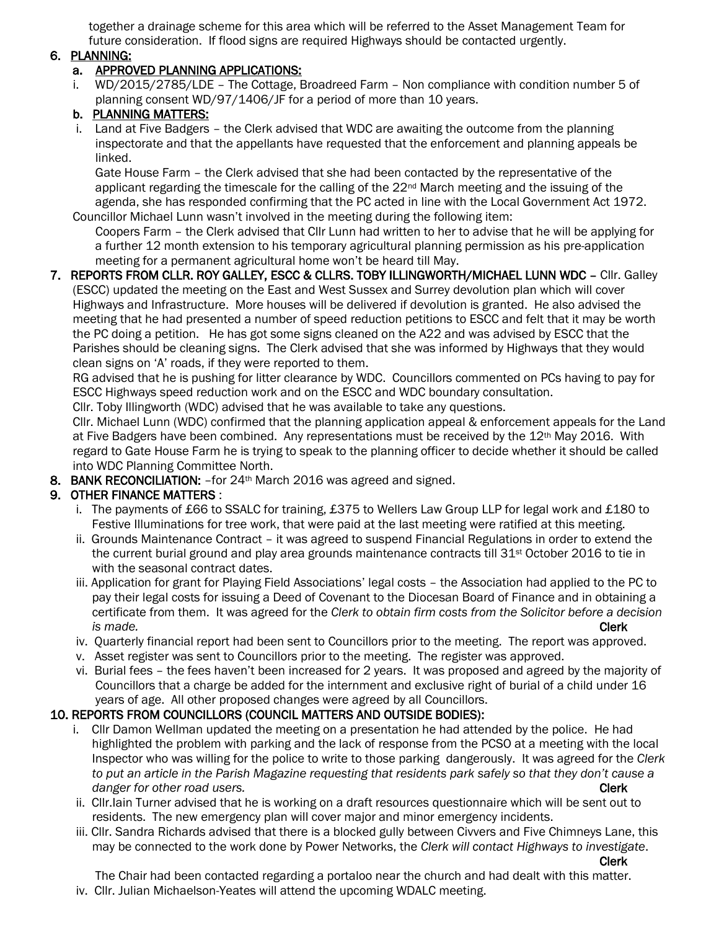together a drainage scheme for this area which will be referred to the Asset Management Team for future consideration. If flood signs are required Highways should be contacted urgently.

#### 6. PLANNING:

### a. APPROVED PLANNING APPLICATIONS:

 i. WD/2015/2785/LDE – The Cottage, Broadreed Farm – Non compliance with condition number 5 of planning consent WD/97/1406/JF for a period of more than 10 years.

## b. PLANNING MATTERS:

 i. Land at Five Badgers – the Clerk advised that WDC are awaiting the outcome from the planning inspectorate and that the appellants have requested that the enforcement and planning appeals be linked.

 Gate House Farm – the Clerk advised that she had been contacted by the representative of the applicant regarding the timescale for the calling of the 22<sup>nd</sup> March meeting and the issuing of the agenda, she has responded confirming that the PC acted in line with the Local Government Act 1972. Councillor Michael Lunn wasn't involved in the meeting during the following item:

 Coopers Farm – the Clerk advised that Cllr Lunn had written to her to advise that he will be applying for a further 12 month extension to his temporary agricultural planning permission as his pre-application meeting for a permanent agricultural home won't be heard till May.

#### 7. REPORTS FROM CLLR. ROY GALLEY, ESCC & CLLRS. TOBY ILLINGWORTH/MICHAEL LUNN WDC – Cllr. Galley (ESCC) updated the meeting on the East and West Sussex and Surrey devolution plan which will cover Highways and Infrastructure. More houses will be delivered if devolution is granted. He also advised the meeting that he had presented a number of speed reduction petitions to ESCC and felt that it may be worth the PC doing a petition. He has got some signs cleaned on the A22 and was advised by ESCC that the Parishes should be cleaning signs. The Clerk advised that she was informed by Highways that they would clean signs on 'A' roads, if they were reported to them.

 RG advised that he is pushing for litter clearance by WDC. Councillors commented on PCs having to pay for ESCC Highways speed reduction work and on the ESCC and WDC boundary consultation.

Cllr. Toby Illingworth (WDC) advised that he was available to take any questions.

 Cllr. Michael Lunn (WDC) confirmed that the planning application appeal & enforcement appeals for the Land at Five Badgers have been combined. Any representations must be received by the 12th May 2016. With regard to Gate House Farm he is trying to speak to the planning officer to decide whether it should be called into WDC Planning Committee North.

8. BANK RECONCILIATION: - for 24<sup>th</sup> March 2016 was agreed and signed.

# 9. OTHER FINANCE MATTERS :

- i. The payments of £66 to SSALC for training, £375 to Wellers Law Group LLP for legal work and £180 to Festive Illuminations for tree work, that were paid at the last meeting were ratified at this meeting.
- ii. Grounds Maintenance Contract it was agreed to suspend Financial Regulations in order to extend the the current burial ground and play area grounds maintenance contracts till 31<sup>st</sup> October 2016 to tie in with the seasonal contract dates.
- iii. Application for grant for Playing Field Associations' legal costs the Association had applied to the PC to pay their legal costs for issuing a Deed of Covenant to the Diocesan Board of Finance and in obtaining a certificate from them. It was agreed for the *Clerk to obtain firm costs from the Solicitor before a decision is made.* Clerk
	- iv. Quarterly financial report had been sent to Councillors prior to the meeting. The report was approved.
	- v. Asset register was sent to Councillors prior to the meeting. The register was approved.
	- vi. Burial fees the fees haven't been increased for 2 years. It was proposed and agreed by the majority of Councillors that a charge be added for the internment and exclusive right of burial of a child under 16 years of age. All other proposed changes were agreed by all Councillors.

## 10. REPORTS FROM COUNCILLORS (COUNCIL MATTERS AND OUTSIDE BODIES):

- i. Cllr Damon Wellman updated the meeting on a presentation he had attended by the police. He had highlighted the problem with parking and the lack of response from the PCSO at a meeting with the local Inspector who was willing for the police to write to those parking dangerously. It was agreed for the *Clerk to put an article in the Parish Magazine requesting that residents park safely so that they don't cause a danger for other road users.* Clerk **Clerk Clerk Clerk Clerk Clerk**
- ii. Cllr.Iain Turner advised that he is working on a draft resources questionnaire which will be sent out to residents. The new emergency plan will cover major and minor emergency incidents.
- iii. Cllr. Sandra Richards advised that there is a blocked gully between Civvers and Five Chimneys Lane, this may be connected to the work done by Power Networks, the *Clerk will contact Highways to investigate*.

Clerk

 The Chair had been contacted regarding a portaloo near the church and had dealt with this matter. iv. Cllr. Julian Michaelson-Yeates will attend the upcoming WDALC meeting.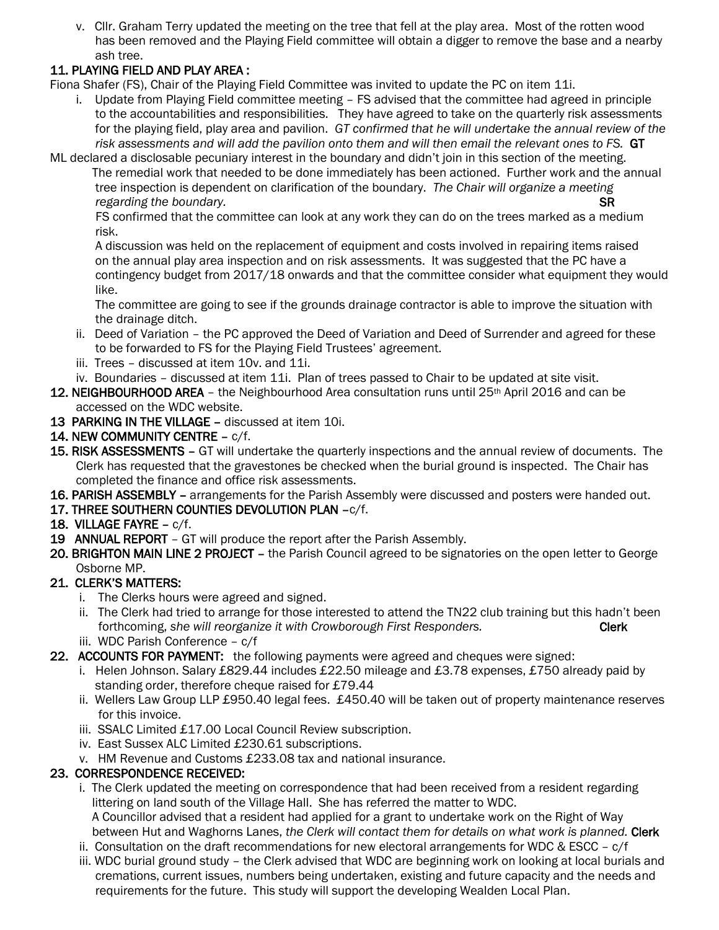v. Cllr. Graham Terry updated the meeting on the tree that fell at the play area. Most of the rotten wood has been removed and the Playing Field committee will obtain a digger to remove the base and a nearby ash tree.

# 11. PLAYING FIELD AND PLAY AREA :

Fiona Shafer (FS), Chair of the Playing Field Committee was invited to update the PC on item 11i.

- i. Update from Playing Field committee meeting FS advised that the committee had agreed in principle to the accountabilities and responsibilities. They have agreed to take on the quarterly risk assessments for the playing field, play area and pavilion. *GT confirmed that he will undertake the annual review of the risk assessments and will add the pavilion onto them and will then email the relevant ones to FS.* GT
- ML declared a disclosable pecuniary interest in the boundary and didn't join in this section of the meeting. The remedial work that needed to be done immediately has been actioned. Further work and the annual tree inspection is dependent on clarification of the boundary. *The Chair will organize a meeting regarding the boundary.* SR **SR**

FS confirmed that the committee can look at any work they can do on the trees marked as a medium risk.

A discussion was held on the replacement of equipment and costs involved in repairing items raised on the annual play area inspection and on risk assessments. It was suggested that the PC have a contingency budget from 2017/18 onwards and that the committee consider what equipment they would like.

 The committee are going to see if the grounds drainage contractor is able to improve the situation with the drainage ditch.

- ii. Deed of Variation the PC approved the Deed of Variation and Deed of Surrender and agreed for these to be forwarded to FS for the Playing Field Trustees' agreement.
- iii. Trees discussed at item 10v. and 11i.
- iv. Boundaries discussed at item 11i. Plan of trees passed to Chair to be updated at site visit.
- 12. NEIGHBOURHOOD AREA the Neighbourhood Area consultation runs until 25<sup>th</sup> April 2016 and can be accessed on the WDC website.
- 13 PARKING IN THE VILLAGE discussed at item 10i.
- 14. NEW COMMUNITY CENTRE c/f.
- 15. RISK ASSESSMENTS GT will undertake the quarterly inspections and the annual review of documents. The Clerk has requested that the gravestones be checked when the burial ground is inspected. The Chair has completed the finance and office risk assessments.
- 16. PARISH ASSEMBLY arrangements for the Parish Assembly were discussed and posters were handed out.
- 17. THREE SOUTHERN COUNTIES DEVOLUTION PLAN –c/f.
- 18. VILLAGE FAYRE c/f.
- 19 ANNUAL REPORT GT will produce the report after the Parish Assembly.
- 20. BRIGHTON MAIN LINE 2 PROJECT the Parish Council agreed to be signatories on the open letter to George Osborne MP.

## 21. CLERK'S MATTERS:

- i. The Clerks hours were agreed and signed.
- ii. The Clerk had tried to arrange for those interested to attend the TN22 club training but this hadn't been forthcoming, *she will reorganize it with Crowborough First Responders.* Clerk iii. WDC Parish Conference – c/f
- 22. ACCOUNTS FOR PAYMENT: the following payments were agreed and cheques were signed:
	- i. Helen Johnson. Salary £829.44 includes £22.50 mileage and £3.78 expenses, £750 already paid by standing order, therefore cheque raised for £79.44
	- ii. Wellers Law Group LLP £950.40 legal fees. £450.40 will be taken out of property maintenance reserves for this invoice.
	- iii. SSALC Limited £17.00 Local Council Review subscription.
	- iv. East Sussex ALC Limited £230.61 subscriptions.
	- v. HM Revenue and Customs £233.08 tax and national insurance.

## 23. CORRESPONDENCE RECEIVED:

- i. The Clerk updated the meeting on correspondence that had been received from a resident regarding littering on land south of the Village Hall. She has referred the matter to WDC. A Councillor advised that a resident had applied for a grant to undertake work on the Right of Way between Hut and Waghorns Lanes, *the Clerk will contact them for details on what work is planned.* Clerk
- ii. Consultation on the draft recommendations for new electoral arrangements for WDC & ESCC  $c/f$
- iii. WDC burial ground study the Clerk advised that WDC are beginning work on looking at local burials and cremations, current issues, numbers being undertaken, existing and future capacity and the needs and requirements for the future. This study will support the developing Wealden Local Plan.